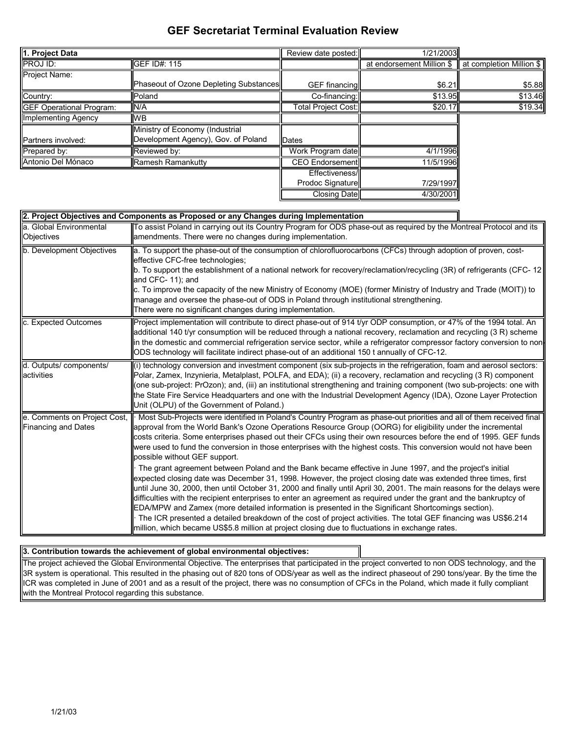# **GEF Secretariat Terminal Evaluation Review**

| 1. Project Data                  |                                                                        | Review date posted:    | 1/21/2003                 |                          |
|----------------------------------|------------------------------------------------------------------------|------------------------|---------------------------|--------------------------|
| <b>PROJ ID:</b>                  | <b>GEF ID#: 115</b>                                                    |                        | at endorsement Million \$ | at completion Million \$ |
| Project Name:                    | Phaseout of Ozone Depleting Substances                                 | <b>GEF</b> financing   | \$6.21                    | \$5.88                   |
| Country:                         | Poland                                                                 | Co-financing:          | \$13.95                   | \$13.46                  |
| <b>IGEF</b> Operational Program: | N/A                                                                    | Total Project Cost:    | \$20.17                   | \$19.34                  |
| Implementing Agency              | <b>WB</b>                                                              |                        |                           |                          |
| Partners involved:               | Ministry of Economy (Industrial<br>Development Agency), Gov. of Poland | Dates                  |                           |                          |
| Prepared by:                     | Reviewed by:                                                           | Work Program date      | 4/1/1996                  |                          |
| Antonio Del Mónaco               | <b>Ramesh Ramankutty</b>                                               | <b>CEO Endorsement</b> | 11/5/1996                 |                          |
|                                  |                                                                        | Effectiveness/         |                           |                          |
|                                  |                                                                        | Prodoc Signature       | 7/29/1997                 |                          |
|                                  |                                                                        | <b>Closing Date</b>    | 4/30/2001                 |                          |

|                                                            | 2. Project Objectives and Components as Proposed or any Changes during Implementation                                                                                                                                                                                                                                                                                                                                                                                                                                                                                                                                                                                                                                                                                                                                                                                                                                                                                                                                                                                                                                                                                                                                                                                                                                        |  |  |
|------------------------------------------------------------|------------------------------------------------------------------------------------------------------------------------------------------------------------------------------------------------------------------------------------------------------------------------------------------------------------------------------------------------------------------------------------------------------------------------------------------------------------------------------------------------------------------------------------------------------------------------------------------------------------------------------------------------------------------------------------------------------------------------------------------------------------------------------------------------------------------------------------------------------------------------------------------------------------------------------------------------------------------------------------------------------------------------------------------------------------------------------------------------------------------------------------------------------------------------------------------------------------------------------------------------------------------------------------------------------------------------------|--|--|
| a. Global Environmental                                    | To assist Poland in carrying out its Country Program for ODS phase-out as required by the Montreal Protocol and its                                                                                                                                                                                                                                                                                                                                                                                                                                                                                                                                                                                                                                                                                                                                                                                                                                                                                                                                                                                                                                                                                                                                                                                                          |  |  |
| <b>Objectives</b>                                          | amendments. There were no changes during implementation.                                                                                                                                                                                                                                                                                                                                                                                                                                                                                                                                                                                                                                                                                                                                                                                                                                                                                                                                                                                                                                                                                                                                                                                                                                                                     |  |  |
| b. Development Objectives                                  | a. To support the phase-out of the consumption of chlorofluorocarbons (CFCs) through adoption of proven, cost-<br>effective CFC-free technologies;<br>b. To support the establishment of a national network for recovery/reclamation/recycling (3R) of refrigerants (CFC-12<br>and CFC- 11); and<br>∥c. To improve the capacity of the new Ministry of Economy (MOE) (former Ministry of Industry and Trade (MOIT)) to<br>manage and oversee the phase-out of ODS in Poland through institutional strengthening.<br>There were no significant changes during implementation.                                                                                                                                                                                                                                                                                                                                                                                                                                                                                                                                                                                                                                                                                                                                                 |  |  |
| c. Expected Outcomes                                       | Project implementation will contribute to direct phase-out of 914 t/yr ODP consumption, or 47% of the 1994 total. An<br>additional 140 t/yr consumption will be reduced through a national recovery, reclamation and recycling (3 R) scheme<br>in the domestic and commercial refrigeration service sector, while a refrigerator compressor factory conversion to non<br>ODS technology will facilitate indirect phase-out of an additional 150 t annually of CFC-12.                                                                                                                                                                                                                                                                                                                                                                                                                                                                                                                                                                                                                                                                                                                                                                                                                                                        |  |  |
| d. Outputs/ components/<br>activities                      | (i) technology conversion and investment component (six sub-projects in the refrigeration, foam and aerosol sectors:<br>Polar, Zamex, Inzynieria, Metalplast, POLFA, and EDA); (ii) a recovery, reclamation and recycling (3 R) component<br>(one sub-project: PrOzon); and, (iii) an institutional strengthening and training component (two sub-projects: one with<br>the State Fire Service Headquarters and one with the Industrial Development Agency (IDA), Ozone Layer Protection<br>Unit (OLPU) of the Government of Poland.)                                                                                                                                                                                                                                                                                                                                                                                                                                                                                                                                                                                                                                                                                                                                                                                        |  |  |
| e. Comments on Project Cost,<br><b>Financing and Dates</b> | Most Sub-Projects were identified in Poland's Country Program as phase-out priorities and all of them received final<br>approval from the World Bank's Ozone Operations Resource Group (OORG) for eligibility under the incremental<br>costs criteria. Some enterprises phased out their CFCs using their own resources before the end of 1995. GEF funds<br>were used to fund the conversion in those enterprises with the highest costs. This conversion would not have been<br>possible without GEF support.<br>The grant agreement between Poland and the Bank became effective in June 1997, and the project's initial<br>expected closing date was December 31, 1998. However, the project closing date was extended three times, first<br>until June 30, 2000, then until October 31, 2000 and finally until April 30, 2001. The main reasons for the delays were<br>difficulties with the recipient enterprises to enter an agreement as required under the grant and the bankruptcy of<br>EDA/MPW and Zamex (more detailed information is presented in the Significant Shortcomings section).<br>The ICR presented a detailed breakdown of the cost of project activities. The total GEF financing was US\$6.214<br>million, which became US\$5.8 million at project closing due to fluctuations in exchange rates. |  |  |

# **3. Contribution towards the achievement of global environmental objectives:**

The project achieved the Global Environmental Objective. The enterprises that participated in the project converted to non ODS technology, and the 3R system is operational. This resulted in the phasing out of 820 tons of ODS/year as well as the indirect phaseout of 290 tons/year. By the time the ICR was completed in June of 2001 and as a result of the project, there was no consumption of CFCs in the Poland, which made it fully compliant with the Montreal Protocol regarding this substance.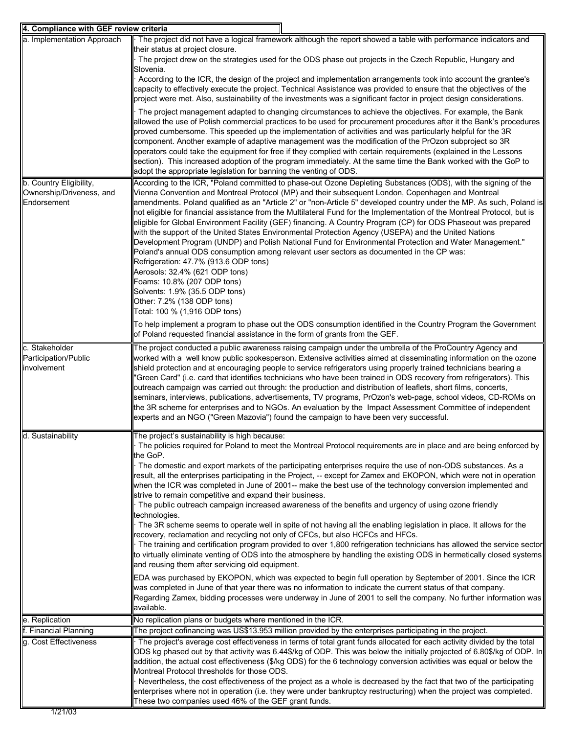| 4. Compliance with GEF review criteria |                                                                                                                                                                                                                                                    |
|----------------------------------------|----------------------------------------------------------------------------------------------------------------------------------------------------------------------------------------------------------------------------------------------------|
| a. Implementation Approach             | The project did not have a logical framework although the report showed a table with performance indicators and                                                                                                                                    |
|                                        | their status at project closure.<br>The project drew on the strategies used for the ODS phase out projects in the Czech Republic, Hungary and                                                                                                      |
|                                        | Slovenia.<br>According to the ICR, the design of the project and implementation arrangements took into account the grantee's                                                                                                                       |
|                                        | capacity to effectively execute the project. Technical Assistance was provided to ensure that the objectives of the                                                                                                                                |
|                                        | project were met. Also, sustainability of the investments was a significant factor in project design considerations.                                                                                                                               |
|                                        | The project management adapted to changing circumstances to achieve the objectives. For example, the Bank<br>allowed the use of Polish commercial practices to be used for procurement procedures after it the Bank's procedures                   |
|                                        | proved cumbersome. This speeded up the implementation of activities and was particularly helpful for the 3R<br>component. Another example of adaptive management was the modification of the PrOzon subproject so 3R                               |
|                                        | operators could take the equipment for free if they complied with certain requirements (explained in the Lessons                                                                                                                                   |
|                                        | section). This increased adoption of the program immediately. At the same time the Bank worked with the GoP to                                                                                                                                     |
| b. Country Eligibility,                | adopt the appropriate legislation for banning the venting of ODS.<br>According to the ICR, "Poland committed to phase-out Ozone Depleting Substances (ODS), with the signing of the                                                                |
| Ownership/Driveness, and               | Vienna Convention and Montreal Protocol (MP) and their subsequent London, Copenhagen and Montreal                                                                                                                                                  |
| Endorsement                            | amendments. Poland qualified as an "Article 2" or "non-Article 5" developed country under the MP. As such, Poland is                                                                                                                               |
|                                        | not eligible for financial assistance from the Multilateral Fund for the Implementation of the Montreal Protocol, but is<br>eligible for Global Environment Facility (GEF) financing. A Country Program (CP) for ODS Phaseout was prepared         |
|                                        | with the support of the United States Environmental Protection Agency (USEPA) and the United Nations                                                                                                                                               |
|                                        | Development Program (UNDP) and Polish National Fund for Environmental Protection and Water Management."<br>Poland's annual ODS consumption among relevant user sectors as documented in the CP was:                                                |
|                                        | Refrigeration: 47.7% (913.6 ODP tons)                                                                                                                                                                                                              |
|                                        | Aerosols: 32.4% (621 ODP tons)                                                                                                                                                                                                                     |
|                                        | Foams: 10.8% (207 ODP tons)<br>Solvents: 1.9% (35.5 ODP tons)                                                                                                                                                                                      |
|                                        | Other: 7.2% (138 ODP tons)                                                                                                                                                                                                                         |
|                                        | Total: 100 % (1,916 ODP tons)                                                                                                                                                                                                                      |
|                                        | To help implement a program to phase out the ODS consumption identified in the Country Program the Government<br>of Poland requested financial assistance in the form of grants from the GEF.                                                      |
| c. Stakeholder<br>Participation/Public | The project conducted a public awareness raising campaign under the umbrella of the ProCountry Agency and<br>worked with a well know public spokesperson. Extensive activities aimed at disseminating information on the ozone                     |
| involvement                            | shield protection and at encouraging people to service refrigerators using properly trained technicians bearing a                                                                                                                                  |
|                                        | "Green Card" (i.e. card that identifies technicians who have been trained in ODS recovery from refrigerators). This                                                                                                                                |
|                                        | outreach campaign was carried out through: the production and distribution of leaflets, short films, concerts,<br>seminars, interviews, publications, advertisements, TV programs, PrOzon's web-page, school videos, CD-ROMs on                    |
|                                        | the 3R scheme for enterprises and to NGOs. An evaluation by the Impact Assessment Committee of independent                                                                                                                                         |
|                                        | experts and an NGO ("Green Mazovia") found the campaign to have been very successful.                                                                                                                                                              |
| d. Sustainability                      | The project's sustainability is high because:                                                                                                                                                                                                      |
|                                        | The policies required for Poland to meet the Montreal Protocol requirements are in place and are being enforced by<br>the GoP.                                                                                                                     |
|                                        | The domestic and export markets of the participating enterprises require the use of non-ODS substances. As a                                                                                                                                       |
|                                        | result, all the enterprises participating in the Project, -- except for Zamex and EKOPON, which were not in operation                                                                                                                              |
|                                        | when the ICR was completed in June of 2001-- make the best use of the technology conversion implemented and<br>strive to remain competitive and expand their business.                                                                             |
|                                        | The public outreach campaign increased awareness of the benefits and urgency of using ozone friendly                                                                                                                                               |
|                                        | technologies.<br>The 3R scheme seems to operate well in spite of not having all the enabling legislation in place. It allows for the                                                                                                               |
|                                        | recovery, reclamation and recycling not only of CFCs, but also HCFCs and HFCs.                                                                                                                                                                     |
|                                        | The training and certification program provided to over 1,800 refrigeration technicians has allowed the service sector                                                                                                                             |
|                                        | to virtually eliminate venting of ODS into the atmosphere by handling the existing ODS in hermetically closed systems<br>and reusing them after servicing old equipment.                                                                           |
|                                        | EDA was purchased by EKOPON, which was expected to begin full operation by September of 2001. Since the ICR                                                                                                                                        |
|                                        | was completed in June of that year there was no information to indicate the current status of that company.<br>Regarding Zamex, bidding processes were underway in June of 2001 to sell the company. No further information was                    |
|                                        | available.                                                                                                                                                                                                                                         |
| e. Replication                         | No replication plans or budgets where mentioned in the ICR.                                                                                                                                                                                        |
| f. Financial Planning                  | The project cofinancing was US\$13.953 million provided by the enterprises participating in the project.                                                                                                                                           |
| g. Cost Effectiveness                  | The project's average cost effectiveness in terms of total grant funds allocated for each activity divided by the total<br>ODS kg phased out by that activity was 6.44\$/kg of ODP. This was below the initially projected of 6.80\$/kg of ODP. In |
|                                        | addition, the actual cost effectiveness (\$/kg ODS) for the 6 technology conversion activities was equal or below the                                                                                                                              |
|                                        | Montreal Protocol thresholds for those ODS.                                                                                                                                                                                                        |
|                                        | Nevertheless, the cost effectiveness of the project as a whole is decreased by the fact that two of the participating<br>enterprises where not in operation (i.e. they were under bankruptcy restructuring) when the project was completed.        |
|                                        | These two companies used 46% of the GEF grant funds.                                                                                                                                                                                               |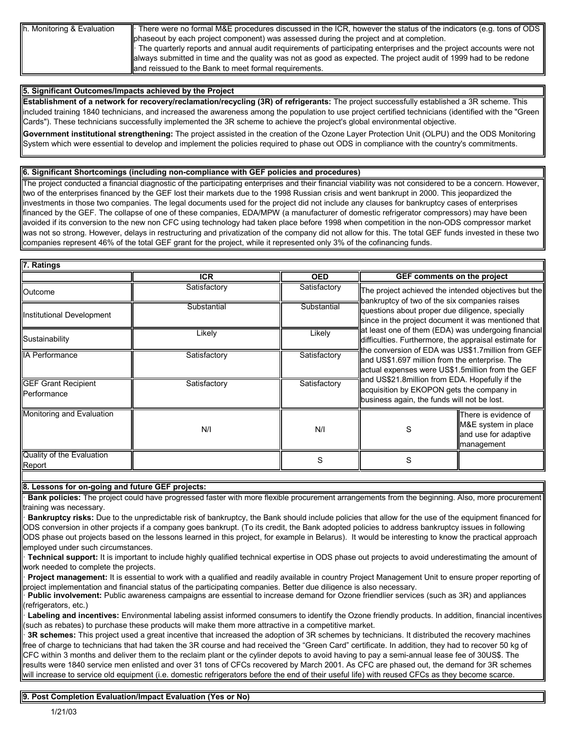| h. Monitoring & Evaluation | There were no formal M&E procedures discussed in the ICR, however the status of the indicators (e.g. tons of ODS          |  |  |
|----------------------------|---------------------------------------------------------------------------------------------------------------------------|--|--|
|                            | phaseout by each project component) was assessed during the project and at completion.                                    |  |  |
|                            | $\ $ . The quarterly reports and annual audit requirements of participating enterprises and the project accounts were not |  |  |
|                            | always submitted in time and the quality was not as good as expected. The project audit of 1999 had to be redone          |  |  |
|                            | and reissued to the Bank to meet formal requirements.                                                                     |  |  |

#### **5. Significant Outcomes/Impacts achieved by the Project**

**Establishment of a network for recovery/reclamation/recycling (3R) of refrigerants:** The project successfully established a 3R scheme. This included training 1840 technicians, and increased the awareness among the population to use project certified technicians (identified with the "Green Cards"). These technicians successfully implemented the 3R scheme to achieve the project's global environmental objective.

**Government institutional strengthening:** The project assisted in the creation of the Ozone Layer Protection Unit (OLPU) and the ODS Monitoring System which were essential to develop and implement the policies required to phase out ODS in compliance with the country's commitments.

## **6. Significant Shortcomings (including non-compliance with GEF policies and procedures)**

The project conducted a financial diagnostic of the participating enterprises and their financial viability was not considered to be a concern. However, two of the enterprises financed by the GEF lost their markets due to the 1998 Russian crisis and went bankrupt in 2000. This jeopardized the investments in those two companies. The legal documents used for the project did not include any clauses for bankruptcy cases of enterprises financed by the GEF. The collapse of one of these companies, EDA/MPW (a manufacturer of domestic refrigerator compressors) may have been avoided if its conversion to the new non CFC using technology had taken place before 1998 when competition in the non-ODS compressor market was not so strong. However, delays in restructuring and privatization of the company did not allow for this. The total GEF funds invested in these two companies represent 46% of the total GEF grant for the project, while it represented only 3% of the cofinancing funds.

| 7. Ratings                                       |              |              |                                                                                                                                                                                                                             |                                                                                   |  |
|--------------------------------------------------|--------------|--------------|-----------------------------------------------------------------------------------------------------------------------------------------------------------------------------------------------------------------------------|-----------------------------------------------------------------------------------|--|
|                                                  | <b>ICR</b>   | <b>OED</b>   | GEF comments on the project                                                                                                                                                                                                 |                                                                                   |  |
| <b>Outcome</b>                                   | Satisfactory | Satisfactory | The project achieved the intended objectives but the<br>bankruptcy of two of the six companies raises<br>questions about proper due diligence, specially<br>since in the project document it was mentioned that $\parallel$ |                                                                                   |  |
| Institutional Development                        | Substantial  | Substantial  |                                                                                                                                                                                                                             |                                                                                   |  |
| Sustainability                                   | Likely       | Likely       | at least one of them (EDA) was undergoing financial<br>difficulties. Furthermore, the appraisal estimate for                                                                                                                |                                                                                   |  |
| <b>IA Performance</b>                            | Satisfactory | Satisfactory | the conversion of EDA was US\$1.7million from GEF <b>I</b><br>and US\$1.697 million from the enterprise. The<br>actual expenses were US\$1.5million from the GEF                                                            |                                                                                   |  |
| <b>GEF Grant Recipient</b><br><b>Performance</b> | Satisfactory | Satisfactory | and US\$21.8million from EDA. Hopefully if the<br>acquisition by EKOPON gets the company in<br>business again, the funds will not be lost.                                                                                  |                                                                                   |  |
| Monitoring and Evaluation                        | N/I          | N/I          | S                                                                                                                                                                                                                           | There is evidence of<br>M&E system in place<br>and use for adaptive<br>management |  |
| Quality of the Evaluation<br>Report              |              | S            | S                                                                                                                                                                                                                           |                                                                                   |  |

### **8. Lessons for on-going and future GEF projects:**

Bank policies: The project could have progressed faster with more flexible procurement arrangements from the beginning. Also, more procurement training was necessary.

· **Bankruptcy risks:** Due to the unpredictable risk of bankruptcy, the Bank should include policies that allow for the use of the equipment financed for ODS conversion in other projects if a company goes bankrupt. (To its credit, the Bank adopted policies to address bankruptcy issues in following ODS phase out projects based on the lessons learned in this project, for example in Belarus). It would be interesting to know the practical approach employed under such circumstances.

Technical support: It is important to include highly qualified technical expertise in ODS phase out projects to avoid underestimating the amount of work needed to complete the projects.

Project management: It is essential to work with a qualified and readily available in country Project Management Unit to ensure proper reporting of project implementation and financial status of the participating companies. Better due diligence is also necessary.

Public involvement: Public awareness campaigns are essential to increase demand for Ozone friendlier services (such as 3R) and appliances (refrigerators, etc.)

Labeling and incentives: Environmental labeling assist informed consumers to identify the Ozone friendly products. In addition, financial incentives such as rebates) to purchase these products will make them more attractive in a competitive market.

3R schemes: This project used a great incentive that increased the adoption of 3R schemes by technicians. It distributed the recovery machines free of charge to technicians that had taken the 3R course and had received the "Green Card" certificate. In addition, they had to recover 50 kg of CFC within 3 months and deliver them to the reclaim plant or the cylinder depots to avoid having to pay a semi-annual lease fee of 30US\$. The results were 1840 service men enlisted and over 31 tons of CFCs recovered by March 2001. As CFC are phased out, the demand for 3R schemes will increase to service old equipment (i.e. domestic refrigerators before the end of their useful life) with reused CFCs as they become scarce.

**9. Post Completion Evaluation/Impact Evaluation (Yes or No)**